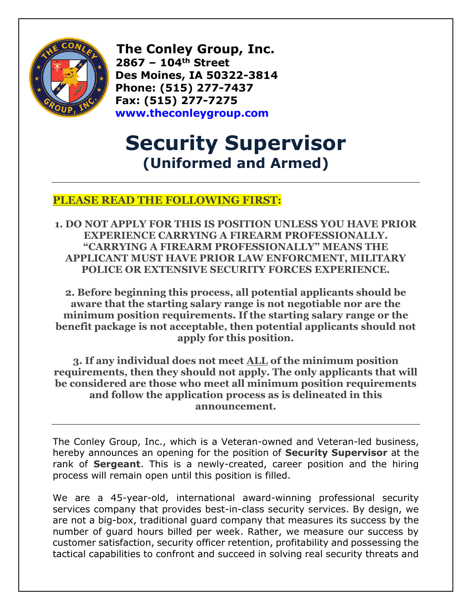

 **The Conley Group, Inc. 2867 – 104th Street Des Moines, IA 50322-3814 Phone: (515) 277-7437 Fax: (515) 277-7275 [www.theconleygroup.com](http://www.theconleygroup.com/)**

## **Security Supervisor (Uniformed and Armed)**

## **PLEASE READ THE FOLLOWING FIRST:**

**1. DO NOT APPLY FOR THIS IS POSITION UNLESS YOU HAVE PRIOR EXPERIENCE CARRYING A FIREARM PROFESSIONALLY. "CARRYING A FIREARM PROFESSIONALLY" MEANS THE APPLICANT MUST HAVE PRIOR LAW ENFORCMENT, MILITARY POLICE OR EXTENSIVE SECURITY FORCES EXPERIENCE.**

**2. Before beginning this process, all potential applicants should be aware that the starting salary range is not negotiable nor are the minimum position requirements. If the starting salary range or the benefit package is not acceptable, then potential applicants should not apply for this position.**

**3. If any individual does not meet ALL of the minimum position requirements, then they should not apply. The only applicants that will be considered are those who meet all minimum position requirements and follow the application process as is delineated in this announcement.**

The Conley Group, Inc., which is a Veteran-owned and Veteran-led business, hereby announces an opening for the position of **Security Supervisor** at the rank of **Sergeant**. This is a newly-created, career position and the hiring process will remain open until this position is filled.

We are a 45-year-old, international award-winning professional security services company that provides best-in-class security services. By design, we are not a big-box, traditional guard company that measures its success by the number of guard hours billed per week. Rather, we measure our success by customer satisfaction, security officer retention, profitability and possessing the tactical capabilities to confront and succeed in solving real security threats and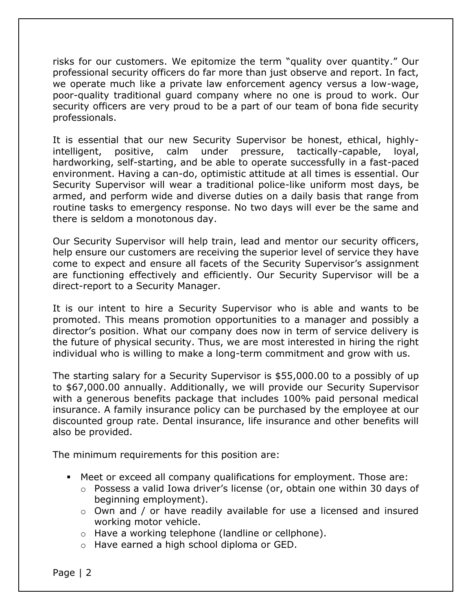risks for our customers. We epitomize the term "quality over quantity." Our professional security officers do far more than just observe and report. In fact, we operate much like a private law enforcement agency versus a low-wage, poor-quality traditional guard company where no one is proud to work. Our security officers are very proud to be a part of our team of bona fide security professionals.

It is essential that our new Security Supervisor be honest, ethical, highlyintelligent, positive, calm under pressure, tactically-capable, loyal, hardworking, self-starting, and be able to operate successfully in a fast-paced environment. Having a can-do, optimistic attitude at all times is essential. Our Security Supervisor will wear a traditional police-like uniform most days, be armed, and perform wide and diverse duties on a daily basis that range from routine tasks to emergency response. No two days will ever be the same and there is seldom a monotonous day.

Our Security Supervisor will help train, lead and mentor our security officers, help ensure our customers are receiving the superior level of service they have come to expect and ensure all facets of the Security Supervisor's assignment are functioning effectively and efficiently. Our Security Supervisor will be a direct-report to a Security Manager.

It is our intent to hire a Security Supervisor who is able and wants to be promoted. This means promotion opportunities to a manager and possibly a director's position. What our company does now in term of service delivery is the future of physical security. Thus, we are most interested in hiring the right individual who is willing to make a long-term commitment and grow with us.

The starting salary for a Security Supervisor is \$55,000.00 to a possibly of up to \$67,000.00 annually. Additionally, we will provide our Security Supervisor with a generous benefits package that includes 100% paid personal medical insurance. A family insurance policy can be purchased by the employee at our discounted group rate. Dental insurance, life insurance and other benefits will also be provided.

The minimum requirements for this position are:

- Meet or exceed all company qualifications for employment. Those are:
	- o Possess a valid Iowa driver's license (or, obtain one within 30 days of beginning employment).
	- o Own and / or have readily available for use a licensed and insured working motor vehicle.
	- o Have a working telephone (landline or cellphone).
	- o Have earned a high school diploma or GED.

Page | 2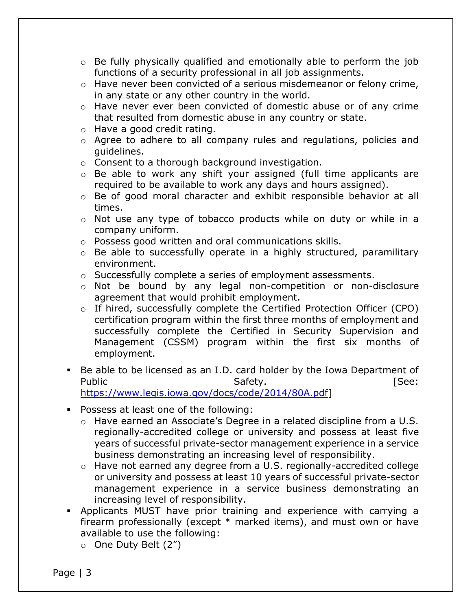- $\circ$  Be fully physically qualified and emotionally able to perform the job functions of a security professional in all job assignments.
- $\circ$  Have never been convicted of a serious misdemeanor or felony crime, in any state or any other country in the world.
- $\circ$  Have never ever been convicted of domestic abuse or of any crime that resulted from domestic abuse in any country or state.
- o Have a good credit rating.
- o Agree to adhere to all company rules and regulations, policies and guidelines.
- o Consent to a thorough background investigation.
- o Be able to work any shift your assigned (full time applicants are required to be available to work any days and hours assigned).
- o Be of good moral character and exhibit responsible behavior at all times.
- o Not use any type of tobacco products while on duty or while in a company uniform.
- o Possess good written and oral communications skills.
- o Be able to successfully operate in a highly structured, paramilitary environment.
- o Successfully complete a series of employment assessments.
- o Not be bound by any legal non-competition or non-disclosure agreement that would prohibit employment.
- o If hired, successfully complete the Certified Protection Officer (CPO) certification program within the first three months of employment and successfully complete the Certified in Security Supervision and Management (CSSM) program within the first six months of employment.
- Be able to be licensed as an I.D. card holder by the Iowa Department of Public **Safety.** Safety. The Safety Safety. [https://www.legis.iowa.gov/docs/code/2014/80A.pdf\]](https://www.legis.iowa.gov/docs/code/2014/80A.pdf)
- Possess at least one of the following:
	- o Have earned an Associate's Degree in a related discipline from a U.S. regionally-accredited college or university and possess at least five years of successful private-sector management experience in a service business demonstrating an increasing level of responsibility.
	- o Have not earned any degree from a U.S. regionally-accredited college or university and possess at least 10 years of successful private-sector management experience in a service business demonstrating an increasing level of responsibility.
- Applicants MUST have prior training and experience with carrying a firearm professionally (except \* marked items), and must own or have available to use the following:
	- o One Duty Belt (2")

Page | 3